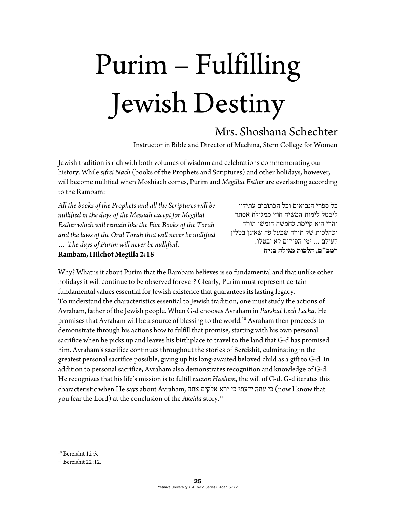## Purim – Fulfilling Jewish Destiny

## Mrs. Shoshana Schechter

Instructor in Bible and Director of Mechina, Stern College for Women

Jewish tradition is rich with both volumes of wisdom and celebrations commemorating our history. While *sifrei Nach* (books of the Prophets and Scriptures) and other holidays, however, will become nullified when Moshiach comes, Purim and *Megillat Esther* are everlasting according to the Rambam:

*All the books of the Prophets and all the Scriptures will be nullified in the days of the Messiah except for Megillat Esther which will remain like the Five Books of the Torah and the laws of the Oral Torah that will never be nullified … The days of Purim will never be nullified.* 

**Rambam, Hilchot Megilla 2:18** 

כל ספרי הנביאים וכל הכתובים עתידין ליבטל לימות המשיח חוץ ממגילת אסתר והרי היא קיימת כחמשה חומשי תורה וכהלכות של תורה שבעל פה שאינן בטלין לעולם ... ימי הפורים לא יבטלו. **רמב"ם, הלכות מגילה ב:יח** 

Why? What is it about Purim that the Rambam believes is so fundamental and that unlike other holidays it will continue to be observed forever? Clearly, Purim must represent certain fundamental values essential for Jewish existence that guarantees its lasting legacy. To understand the characteristics essential to Jewish tradition, one must study the actions of Avraham, father of the Jewish people. When G-d chooses Avraham in *Parshat Lech Lecha*, He promises that Avraham will be a source of blessing to the world.<sup>10</sup> Avraham then proceeds to demonstrate through his actions how to fulfill that promise, starting with his own personal sacrifice when he picks up and leaves his birthplace to travel to the land that G-d has promised him. Avraham's sacrifice continues throughout the stories of Bereishit, culminating in the greatest personal sacrifice possible, giving up his long-awaited beloved child as a gift to G-d. In addition to personal sacrifice, Avraham also demonstrates recognition and knowledge of G-d. He recognizes that his life's mission is to fulfill *ratzon Hashem*, the will of G-d. G-d iterates this characteristic when He says about Avraham, אתה אלקים ירא כי ידעתי עתה כי) now I know that you fear the Lord) at the conclusion of the *Akeida* story.11

<sup>10</sup> Bereishit 12:3.

 $11$  Bereishit 22:12.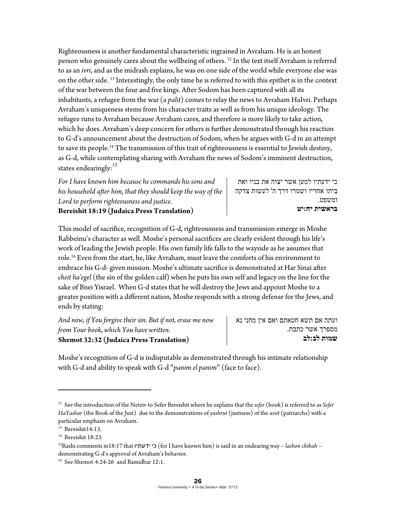Righteousness is another fundamental characteristic ingrained in Avraham. He is an honest person who genuinely cares about the wellbeing of others.<sup>12</sup> In the text itself Avraham is referred to as an *ivri*, and as the midrash explains, he was on one side of the world while everyone else was on the other side. 13 Interestingly, the only time he is referred to with this epithet is in the context of the war between the four and five kings. After Sodom has been captured with all its inhabitants, a refugee from the war (a *palit*) comes to relay the news to Avraham HaIvri. Perhaps Avraham's uniqueness stems from his character traits as well as from his unique ideology. The refugee runs to Avraham because Avraham cares, and therefore is more likely to take action, which he does. Avraham's deep concern for others is further demonstrated through his reaction to G-d's announcement about the destruction of Sodom, when he argues with G-d in an attempt to save its people.<sup>14</sup> The transmission of this trait of righteousness is essential to Jewish destiny, as G-d, while contemplating sharing with Avraham the news of Sodom's imminent destruction, states endearingly:<sup>15</sup>

*For I have known him because he commands his sons and his household after him, that they should keep the way of the Lord to perform righteousness and justice.* 

כי ידעתיו למען אשר יצוה את בניו ואת ביתו אחריו ושמרו דרך ה' לעשות צדקה ומשפט. **בראשית יח:יט** 

**Bereishit 18:19 (Judaica Press Translation)** 

This model of sacrifice, recognition of G-d, righteousness and transmission emerge in Moshe Rabbeinu's character as well. Moshe's personal sacrifices are clearly evident through his life's work of leading the Jewish people. His own family life falls to the wayside as he assumes that role.16 Even from the start, he, like Avraham, must leave the comforts of his environment to embrace his G-d- given mission. Moshe's ultimate sacrifice is demonstrated at Har Sinai after *cheit ha'egel* (the sin of the golden calf) when he puts his own self and legacy on the line for the sake of Bnei Yisrael. When G-d states that he will destroy the Jews and appoint Moshe to a greater position with a different nation, Moshe responds with a strong defense for the Jews, and ends by stating:

*And now, if You forgive their sin. But if not, erase me now from Your book, which You have written.*  **Shemot 32:32 (Judaica Press Translation)** 

ועתה אם תשא חטאתם ואם אין מחני נא מספרך אשר כתבת. **שמות לב:לב** 

Moshe's recognition of G-d is indisputable as demonstrated through his intimate relationship with G-d and ability to speak with G-d "*panim el panim*" (face to face).

<sup>12</sup> See the introduction of the Netziv to Sefer Bereishit where he explains that the *sefer* (book) is referred to as *Sefer HaYashar* (the Book of the Just) due to the demonstrations of *yashrut* (justness) of the *avot* (patriarchs) with a particular emphasis on Avraham.

<sup>&</sup>lt;sup>13</sup> Bereishit14:13.

<sup>&</sup>lt;sup>14</sup> Bereishit 18:23.

<sup>15</sup>Rashi comments in18:17 that ידעתיו כי) for I have known him) is said in an endearing way – *lashon chibah* - demonstrating G-d's approval of Avraham's behavior.<br><sup>16</sup> See Shemot 4:24-26 and Bamidbar 12:1.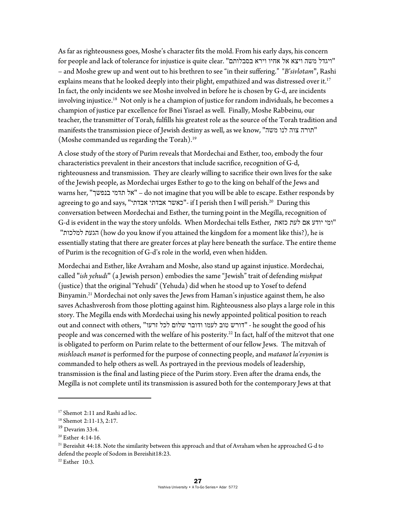As far as righteousness goes, Moshe's character fits the mold. From his early days, his concern for people and lack of tolerance for injustice is quite clear. "ויגדל משה ויצא אל אחיו וירא בסבלותם" – and Moshe grew up and went out to his brethren to see "in their suffering." "*B'sivlotam*", Rashi explains means that he looked deeply into their plight, empathized and was distressed over it.<sup>17</sup> In fact, the only incidents we see Moshe involved in before he is chosen by G-d, are incidents involving injustice.<sup>18</sup> Not only is he a champion of justice for random individuals, he becomes a champion of justice par excellence for Bnei Yisrael as well. Finally, Moshe Rabbeinu, our teacher, the transmitter of Torah, fulfills his greatest role as the source of the Torah tradition and manifests the transmission piece of Jewish destiny as well, as we know, "משה לנו צוה תורה" (Moshe commanded us regarding the Torah).19

A close study of the story of Purim reveals that Mordechai and Esther, too, embody the four characteristics prevalent in their ancestors that include sacrifice, recognition of G-d, righteousness and transmission. They are clearly willing to sacrifice their own lives for the sake of the Jewish people, as Mordechai urges Esther to go to the king on behalf of the Jews and warns her, "בנפשך תדמי אל – "do not imagine that you will be able to escape. Esther responds by agreeing to go and says, "אבדתי אבדתי כאשר"- if I perish then I will perish.20 During this conversation between Mordechai and Esther, the turning point in the Megilla, recognition of G-d is evident in the way the story unfolds. When Mordechai tells Esther, כזאת לעת אם יודע ומי" "למלכות הגעת) how do you know if you attained the kingdom for a moment like this?), he is essentially stating that there are greater forces at play here beneath the surface. The entire theme of Purim is the recognition of G-d's role in the world, even when hidden.

Mordechai and Esther, like Avraham and Moshe, also stand up against injustice. Mordechai, called "*ish yehudi*" (a Jewish person) embodies the same "Jewish" trait of defending *mishpat* (justice) that the original "Yehudi" (Yehuda) did when he stood up to Yosef to defend Binyamin.<sup>21</sup> Mordechai not only saves the Jews from Haman's injustice against them, he also saves Achashverosh from those plotting against him. Righteousness also plays a large role in this story. The Megilla ends with Mordechai using his newly appointed political position to reach out and connect with others, "זרעו לכל שלום ודובר לעמו טוב דורש "- he sought the good of his people and was concerned with the welfare of his posterity.<sup>22</sup> In fact, half of the mitzvot that one is obligated to perform on Purim relate to the betterment of our fellow Jews. The mitzvah of *mishloach manot* is performed for the purpose of connecting people, and *matanot la'evyonim* is commanded to help others as well. As portrayed in the previous models of leadership, transmission is the final and lasting piece of the Purim story. Even after the drama ends, the Megilla is not complete until its transmission is assured both for the contemporary Jews at that

<sup>&</sup>lt;sup>17</sup> Shemot 2:11 and Rashi ad loc.

<sup>18</sup> Shemot 2:11-13, 2:17.

<sup>19</sup> Devarim 33:4.

<sup>&</sup>lt;sup>20</sup> Esther 4:14-16.

 $21$  Bereishit 44:18. Note the similarity between this approach and that of Avraham when he approached G-d to defend the people of Sodom in Bereishit18:23.

 $22$  Esther 10:3.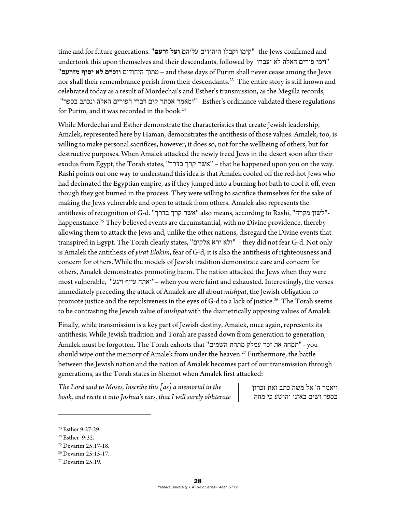time and for future generations. "**זרעם ועל** עליהם היהודים וקבלו קימו"- the Jews confirmed and undertook this upon themselves and their descendants, followed by יעברו לא האלה פורים וימי" "**מזרעם יסוף לא וזכרם** היהודים מתוך – and these days of Purim shall never cease among the Jews nor shall their remembrance perish from their descendants.<sup>23</sup> The entire story is still known and celebrated today as a result of Mordechai's and Esther's transmission, as the Megilla records, regulations these validated ordinance s'Esther"– ומאמר אסתר קים דברי הפורים האלה ונכתב בספר" for Purim, and it was recorded in the book.<sup>24</sup>

While Mordechai and Esther demonstrate the characteristics that create Jewish leadership, Amalek, represented here by Haman, demonstrates the antithesis of those values. Amalek, too, is willing to make personal sacrifices, however, it does so, not for the wellbeing of others, but for destructive purposes. When Amalek attacked the newly freed Jews in the desert soon after their exodus from Egypt, the Torah states, "בדרך קרך אשר – "that he happened upon you on the way. Rashi points out one way to understand this idea is that Amalek cooled off the red-hot Jews who had decimated the Egyptian empire, as if they jumped into a burning hot bath to cool it off, even though they got burned in the process. They were willing to sacrifice themselves for the sake of making the Jews vulnerable and open to attack from others. Amalek also represents the antithesis of recognition of G-d. "אשר קרך בדרך" also means, according to Rashi, "לשון מקרה" happenstance.<sup>25</sup> They believed events are circumstantial, with no Divine providence, thereby allowing them to attack the Jews and, unlike the other nations, disregard the Divine events that transpired in Egypt. The Torah clearly states, "אלקים ירא ולא – "they did not fear G-d. Not only is Amalek the antithesis of *yirat Elokim*, fear of G-d, it is also the antithesis of righteousness and concern for others. While the models of Jewish tradition demonstrate care and concern for others, Amalek demonstrates promoting harm. The nation attacked the Jews when they were most vulnerable, "ויגע עייף ואתה –"when you were faint and exhausted. Interestingly, the verses immediately preceding the attack of Amalek are all about *mishpat*, the Jewish obligation to promote justice and the repulsiveness in the eyes of G-d to a lack of justice.<sup>26</sup> The Torah seems to be contrasting the Jewish value of *mishpat* with the diametrically opposing values of Amalek.

Finally, while transmission is a key part of Jewish destiny, Amalek, once again, represents its antithesis. While Jewish tradition and Torah are passed down from generation to generation, Amalek must be forgotten. The Torah exhorts that "השמים מתחת עמלק זכר את תמחה "- you should wipe out the memory of Amalek from under the heaven.<sup>27</sup> Furthermore, the battle between the Jewish nation and the nation of Amalek becomes part of our transmission through generations, as the Torah states in Shemot when Amalek first attacked:

*The Lord said to Moses, Inscribe this [as] a memorial in the book, and recite it into Joshua's ears, that I will surely obliterate* 

ויאמר ה' אל משה כתב זאת זכרון בספר ושים באזני יהושע כי מחה

<sup>23</sup> Esther 9:27-29.

<sup>24</sup> Esther 9:32.

<sup>25</sup> Devarim 25:17-18.

<sup>26</sup> Devarim 25:15-17.

 $27$  Devarim 25:19.